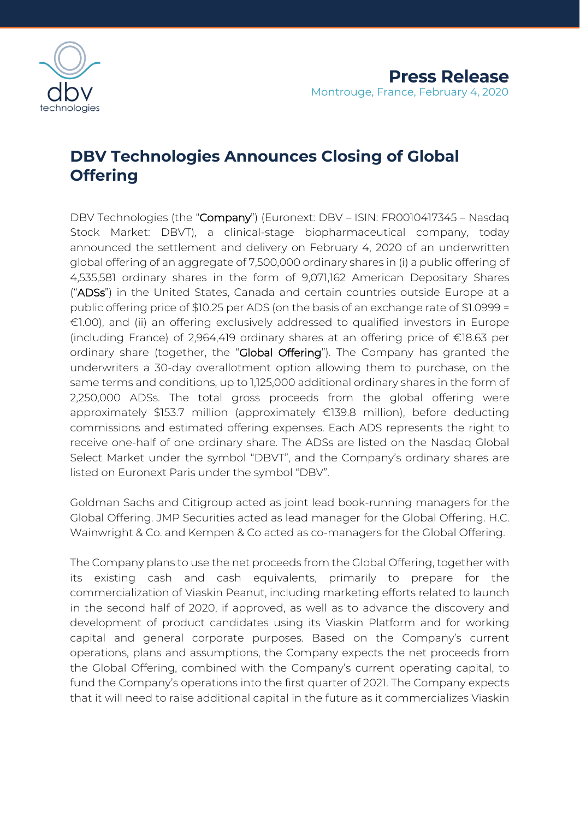

# **DBV Technologies Announces Closing of Global Offering**

DBV Technologies (the "Company") (Euronext: DBV – ISIN: FR0010417345 – Nasdaq Stock Market: DBVT), a clinical-stage biopharmaceutical company, today announced the settlement and delivery on February 4, 2020 of an underwritten global offering of an aggregate of 7,500,000 ordinary shares in (i) a public offering of 4,535,581 ordinary shares in the form of 9,071,162 American Depositary Shares ("ADSs") in the United States, Canada and certain countries outside Europe at a public offering price of \$10.25 per ADS (on the basis of an exchange rate of \$1.0999 = €1.00), and (ii) an offering exclusively addressed to qualified investors in Europe (including France) of 2,964,419 ordinary shares at an offering price of €18.63 per ordinary share (together, the "Global Offering"). The Company has granted the underwriters a 30-day overallotment option allowing them to purchase, on the same terms and conditions, up to 1,125,000 additional ordinary shares in the form of 2,250,000 ADSs. The total gross proceeds from the global offering were approximately \$153.7 million (approximately €139.8 million), before deducting commissions and estimated offering expenses. Each ADS represents the right to receive one-half of one ordinary share. The ADSs are listed on the Nasdaq Global Select Market under the symbol "DBVT", and the Company's ordinary shares are listed on Euronext Paris under the symbol "DBV".

Goldman Sachs and Citigroup acted as joint lead book-running managers for the Global Offering. JMP Securities acted as lead manager for the Global Offering. H.C. Wainwright & Co. and Kempen & Co acted as co-managers for the Global Offering.

The Company plans to use the net proceeds from the Global Offering, together with its existing cash and cash equivalents, primarily to prepare for the commercialization of Viaskin Peanut, including marketing efforts related to launch in the second half of 2020, if approved, as well as to advance the discovery and development of product candidates using its Viaskin Platform and for working capital and general corporate purposes. Based on the Company's current operations, plans and assumptions, the Company expects the net proceeds from the Global Offering, combined with the Company's current operating capital, to fund the Company's operations into the first quarter of 2021. The Company expects that it will need to raise additional capital in the future as it commercializes Viaskin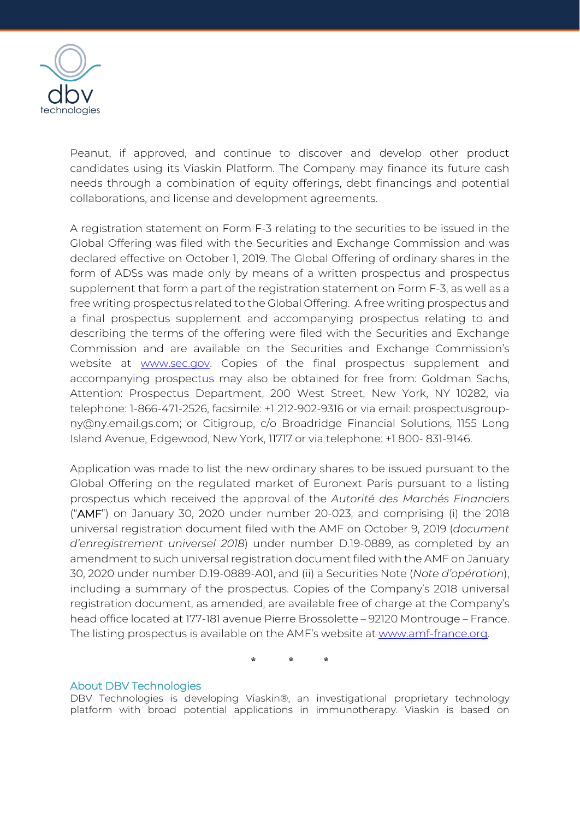

Peanut, if approved, and continue to discover and develop other product candidates using its Viaskin Platform. The Company may finance its future cash needs through a combination of equity offerings, debt financings and potential collaborations, and license and development agreements.

A registration statement on Form F-3 relating to the securities to be issued in the Global Offering was filed with the Securities and Exchange Commission and was declared effective on October 1, 2019. The Global Offering of ordinary shares in the form of ADSs was made only by means of a written prospectus and prospectus supplement that form a part of the registration statement on Form F-3, as well as a free writing prospectus related to the Global Offering. A free writing prospectus and a final prospectus supplement and accompanying prospectus relating to and describing the terms of the offering were filed with the Securities and Exchange Commission and are available on the Securities and Exchange Commission's website at [www.sec.gov.](http://www.sec.gov/) Copies of the final prospectus supplement and accompanying prospectus may also be obtained for free from: Goldman Sachs, Attention: Prospectus Department, 200 West Street, New York, NY 10282, via telephone: 1-866-471-2526, facsimile: +1 212-902-9316 or via email: prospectusgroupny@ny.email.gs.com; or Citigroup, c/o Broadridge Financial Solutions, 1155 Long Island Avenue, Edgewood, New York, 11717 or via telephone: +1 800- 831-9146.

Application was made to list the new ordinary shares to be issued pursuant to the Global Offering on the regulated market of Euronext Paris pursuant to a listing prospectus which received the approval of the *Autorité des Marchés Financiers*  ("AMF") on January 30, 2020 under number 20-023, and comprising (i) the 2018 universal registration document filed with the AMF on October 9, 2019 (*document d'enregistrement universel 2018*) under number D.19-0889, as completed by an amendment to such universal registration document filed with the AMF on January 30, 2020 under number D.19-0889-A01, and (ii) a Securities Note (*Note d'opération*), including a summary of the prospectus. Copies of the Company's 2018 universal registration document, as amended, are available free of charge at the Company's head office located at 177-181 avenue Pierre Brossolette – 92120 Montrouge – France. The listing prospectus is available on the AMF's website at [www.amf-france.org.](http://www.amf-france.org/)

**\* \* \***

# About DBV Technologies

DBV Technologies is developing Viaskin®, an investigational proprietary technology platform with broad potential applications in immunotherapy. Viaskin is based on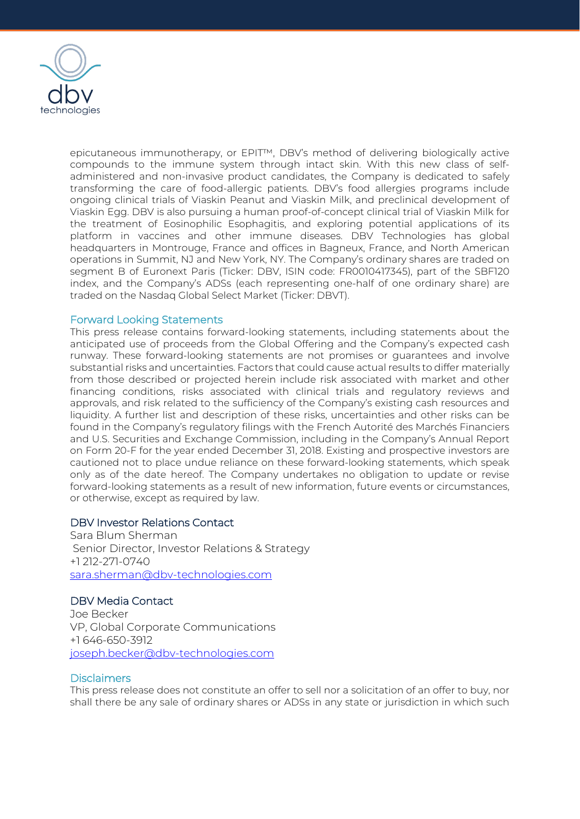

epicutaneous immunotherapy, or EPIT™, DBV's method of delivering biologically active compounds to the immune system through intact skin. With this new class of selfadministered and non-invasive product candidates, the Company is dedicated to safely transforming the care of food-allergic patients. DBV's food allergies programs include ongoing clinical trials of Viaskin Peanut and Viaskin Milk, and preclinical development of Viaskin Egg. DBV is also pursuing a human proof-of-concept clinical trial of Viaskin Milk for the treatment of Eosinophilic Esophagitis, and exploring potential applications of its platform in vaccines and other immune diseases. DBV Technologies has global headquarters in Montrouge, France and offices in Bagneux, France, and North American operations in Summit, NJ and New York, NY. The Company's ordinary shares are traded on segment B of Euronext Paris (Ticker: DBV, ISIN code: FR0010417345), part of the SBF120 index, and the Company's ADSs (each representing one-half of one ordinary share) are traded on the Nasdaq Global Select Market (Ticker: DBVT).

## Forward Looking Statements

This press release contains forward-looking statements, including statements about the anticipated use of proceeds from the Global Offering and the Company's expected cash runway. These forward-looking statements are not promises or guarantees and involve substantial risks and uncertainties. Factors that could cause actual results to differ materially from those described or projected herein include risk associated with market and other financing conditions, risks associated with clinical trials and regulatory reviews and approvals, and risk related to the sufficiency of the Company's existing cash resources and liquidity. A further list and description of these risks, uncertainties and other risks can be found in the Company's regulatory filings with the French Autorité des Marchés Financiers and U.S. Securities and Exchange Commission, including in the Company's Annual Report on Form 20-F for the year ended December 31, 2018. Existing and prospective investors are cautioned not to place undue reliance on these forward-looking statements, which speak only as of the date hereof. The Company undertakes no obligation to update or revise forward-looking statements as a result of new information, future events or circumstances, or otherwise, except as required by law.

#### DBV Investor Relations Contact

Sara Blum Sherman Senior Director, Investor Relations & Strategy +1 212-271-0740 [sara.sherman@dbv-technologies.com](mailto:sara.sherman@dbv-technologies.com)

# DBV Media Contact

Joe Becker VP, Global Corporate Communications +1 646-650-3912 [joseph.becker@dbv-technologies.com](mailto:joseph.becker@dbv-technologies.com)

## **Disclaimers**

This press release does not constitute an offer to sell nor a solicitation of an offer to buy, nor shall there be any sale of ordinary shares or ADSs in any state or jurisdiction in which such